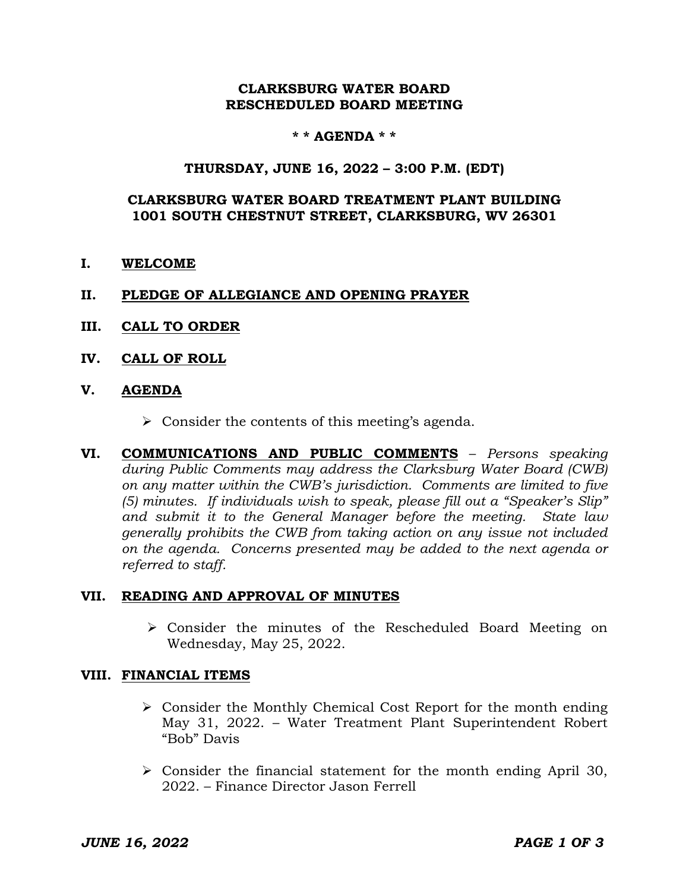## **CLARKSBURG WATER BOARD RESCHEDULED BOARD MEETING**

## **\* \* AGENDA \* \***

### **THURSDAY, JUNE 16, 2022 – 3:00 P.M. (EDT)**

## **CLARKSBURG WATER BOARD TREATMENT PLANT BUILDING 1001 SOUTH CHESTNUT STREET, CLARKSBURG, WV 26301**

**I. WELCOME**

### **II. PLEDGE OF ALLEGIANCE AND OPENING PRAYER**

- **III. CALL TO ORDER**
- **IV. CALL OF ROLL**
- **V. AGENDA**
	- $\triangleright$  Consider the contents of this meeting's agenda.
- **VI. COMMUNICATIONS AND PUBLIC COMMENTS** *Persons speaking during Public Comments may address the Clarksburg Water Board (CWB) on any matter within the CWB's jurisdiction. Comments are limited to five (5) minutes. If individuals wish to speak, please fill out a "Speaker's Slip" and submit it to the General Manager before the meeting. State law generally prohibits the CWB from taking action on any issue not included on the agenda. Concerns presented may be added to the next agenda or referred to staff.*

#### **VII. READING AND APPROVAL OF MINUTES**

 Consider the minutes of the Rescheduled Board Meeting on Wednesday, May 25, 2022.

#### **VIII. FINANCIAL ITEMS**

- $\triangleright$  Consider the Monthly Chemical Cost Report for the month ending May 31, 2022. – Water Treatment Plant Superintendent Robert "Bob" Davis
- $\triangleright$  Consider the financial statement for the month ending April 30, 2022. – Finance Director Jason Ferrell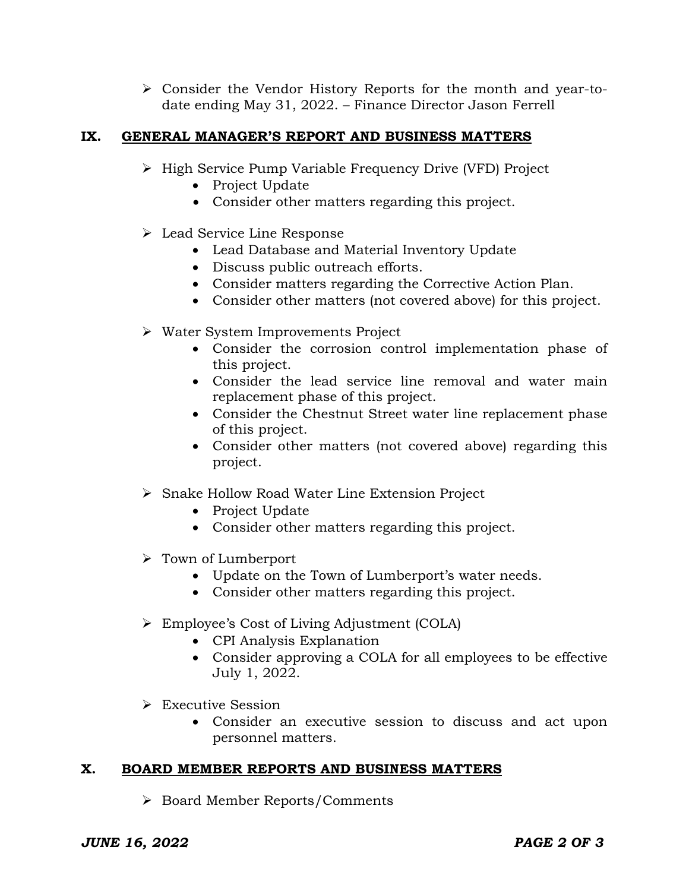Consider the Vendor History Reports for the month and year-todate ending May 31, 2022. – Finance Director Jason Ferrell

# **IX. GENERAL MANAGER'S REPORT AND BUSINESS MATTERS**

- ▶ High Service Pump Variable Frequency Drive (VFD) Project
	- Project Update
	- Consider other matters regarding this project.
- Lead Service Line Response
	- Lead Database and Material Inventory Update
	- Discuss public outreach efforts.
	- Consider matters regarding the Corrective Action Plan.
	- Consider other matters (not covered above) for this project.
- Water System Improvements Project
	- Consider the corrosion control implementation phase of this project.
	- Consider the lead service line removal and water main replacement phase of this project.
	- Consider the Chestnut Street water line replacement phase of this project.
	- Consider other matters (not covered above) regarding this project.
- Snake Hollow Road Water Line Extension Project
	- Project Update
	- Consider other matters regarding this project.
- $\triangleright$  Town of Lumberport
	- Update on the Town of Lumberport's water needs.
	- Consider other matters regarding this project.
- Employee's Cost of Living Adjustment (COLA)
	- CPI Analysis Explanation
	- Consider approving a COLA for all employees to be effective July 1, 2022.
- Executive Session
	- Consider an executive session to discuss and act upon personnel matters.

# **X. BOARD MEMBER REPORTS AND BUSINESS MATTERS**

Board Member Reports/Comments

# *JUNE 16, 2022 PAGE 2 OF 3*